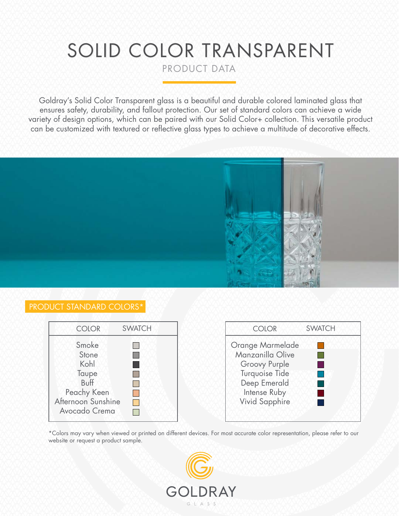# SOLID COLOR TRANSPARENT

PRODUCT DATA

Goldray's Solid Color Transparent glass is a beautiful and durable colored laminated glass that ensures safety, durability, and fallout protection. Our set of standard colors can achieve a wide variety of design options, which can be paired with our Solid Color+ collection. This versatile product can be customized with textured or reflective glass types to achieve a multitude of decorative effects.



## PRODUCT STANDARD COLORS\*

| <b>COLOR</b>                                                                                  | <b>SWATCH</b> | <b>COLOR</b>                                                                                                                            | <b>SWATCH</b> |
|-----------------------------------------------------------------------------------------------|---------------|-----------------------------------------------------------------------------------------------------------------------------------------|---------------|
| Smoke<br>Stone<br>Kohl<br>Taupe<br>Buff<br>Peachy Keen<br>Afternoon Sunshine<br>Avocado Crema |               | <b>Orange Marmelade</b><br>Manzanilla Olive<br>Groovy Purple<br>Turquoise Tide<br>Deep Emerald<br>Intense Ruby<br><b>Vivid Sapphire</b> |               |

\*Colors may vary when viewed or printed on different devices. For most accurate color representation, please refer to our website or request a product sample.